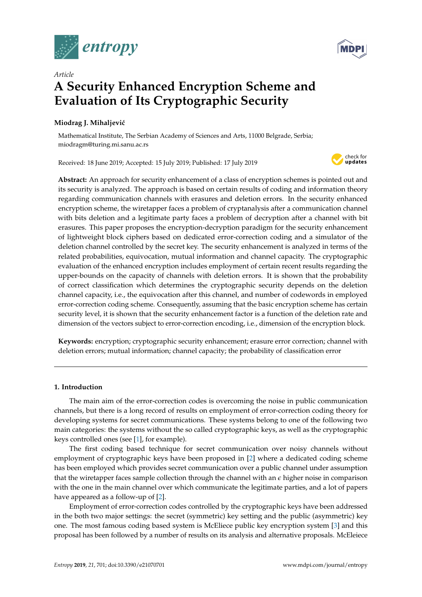



# *Article* **A Security Enhanced Encryption Scheme and Evaluation of Its Cryptographic Security**

# **Miodrag J. Mihaljevi´c**

Mathematical Institute, The Serbian Academy of Sciences and Arts, 11000 Belgrade, Serbia; miodragm@turing.mi.sanu.ac.rs

Received: 18 June 2019; Accepted: 15 July 2019; Published: 17 July 2019



**Abstract:** An approach for security enhancement of a class of encryption schemes is pointed out and its security is analyzed. The approach is based on certain results of coding and information theory regarding communication channels with erasures and deletion errors. In the security enhanced encryption scheme, the wiretapper faces a problem of cryptanalysis after a communication channel with bits deletion and a legitimate party faces a problem of decryption after a channel with bit erasures. This paper proposes the encryption-decryption paradigm for the security enhancement of lightweight block ciphers based on dedicated error-correction coding and a simulator of the deletion channel controlled by the secret key. The security enhancement is analyzed in terms of the related probabilities, equivocation, mutual information and channel capacity. The cryptographic evaluation of the enhanced encryption includes employment of certain recent results regarding the upper-bounds on the capacity of channels with deletion errors. It is shown that the probability of correct classification which determines the cryptographic security depends on the deletion channel capacity, i.e., the equivocation after this channel, and number of codewords in employed error-correction coding scheme. Consequently, assuming that the basic encryption scheme has certain security level, it is shown that the security enhancement factor is a function of the deletion rate and dimension of the vectors subject to error-correction encoding, i.e., dimension of the encryption block.

**Keywords:** encryption; cryptographic security enhancement; erasure error correction; channel with deletion errors; mutual information; channel capacity; the probability of classification error

# **1. Introduction**

The main aim of the error-correction codes is overcoming the noise in public communication channels, but there is a long record of results on employment of error-correction coding theory for developing systems for secret communications. These systems belong to one of the following two main categories: the systems without the so called cryptographic keys, as well as the cryptographic keys controlled ones (see [\[1\]](#page-9-0), for example).

The first coding based technique for secret communication over noisy channels without employment of cryptographic keys have been proposed in [\[2\]](#page-9-1) where a dedicated coding scheme has been employed which provides secret communication over a public channel under assumption that the wiretapper faces sample collection through the channel with an *e* higher noise in comparison with the one in the main channel over which communicate the legitimate parties, and a lot of papers have appeared as a follow-up of [\[2\]](#page-9-1).

Employment of error-correction codes controlled by the cryptographic keys have been addressed in the both two major settings: the secret (symmetric) key setting and the public (asymmetric) key one. The most famous coding based system is McEliece public key encryption system [\[3\]](#page-9-2) and this proposal has been followed by a number of results on its analysis and alternative proposals. McEleiece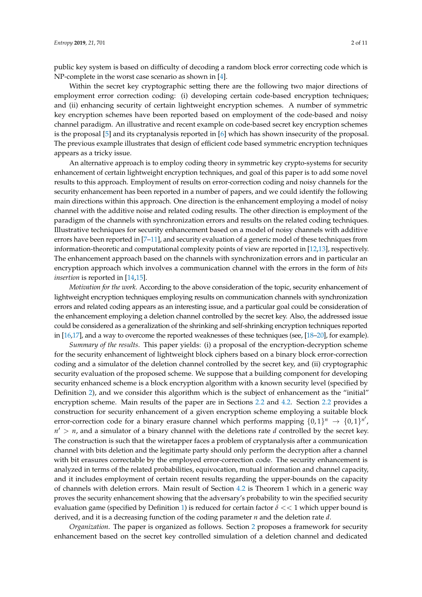public key system is based on difficulty of decoding a random block error correcting code which is NP-complete in the worst case scenario as shown in [\[4\]](#page-9-3).

Within the secret key cryptographic setting there are the following two major directions of employment error correction coding: (i) developing certain code-based encryption techniques; and (ii) enhancing security of certain lightweight encryption schemes. A number of symmetric key encryption schemes have been reported based on employment of the code-based and noisy channel paradigm. An illustrative and recent example on code-based secret key encryption schemes is the proposal [\[5\]](#page-9-4) and its cryptanalysis reported in [\[6\]](#page-9-5) which has shown insecurity of the proposal. The previous example illustrates that design of efficient code based symmetric encryption techniques appears as a tricky issue.

An alternative approach is to employ coding theory in symmetric key crypto-systems for security enhancement of certain lightweight encryption techniques, and goal of this paper is to add some novel results to this approach. Employment of results on error-correction coding and noisy channels for the security enhancement has been reported in a number of papers, and we could identify the following main directions within this approach. One direction is the enhancement employing a model of noisy channel with the additive noise and related coding results. The other direction is employment of the paradigm of the channels with synchronization errors and results on the related coding techniques. Illustrative techniques for security enhancement based on a model of noisy channels with additive errors have been reported in [\[7–](#page-9-6)[11\]](#page-10-0), and security evaluation of a generic model of these techniques from information-theoretic and computational complexity points of view are reported in [\[12](#page-10-1)[,13\]](#page-10-2), respectively. The enhancement approach based on the channels with synchronization errors and in particular an encryption approach which involves a communication channel with the errors in the form of *bits insertion* is reported in [\[14,](#page-10-3)[15\]](#page-10-4).

*Motivation for the work*. According to the above consideration of the topic, security enhancement of lightweight encryption techniques employing results on communication channels with synchronization errors and related coding appears as an interesting issue, and a particular goal could be consideration of the enhancement employing a deletion channel controlled by the secret key. Also, the addressed issue could be considered as a generalization of the shrinking and self-shrinking encryption techniques reported in [\[16](#page-10-5)[,17\]](#page-10-6), and a way to overcome the reported weaknesses of these techniques (see, [\[18–](#page-10-7)[20\]](#page-10-8), for example).

*Summary of the results*. This paper yields: (i) a proposal of the encryption-decryption scheme for the security enhancement of lightweight block ciphers based on a binary block error-correction coding and a simulator of the deletion channel controlled by the secret key, and (ii) cryptographic security evaluation of the proposed scheme. We suppose that a building component for developing security enhanced scheme is a block encryption algorithm with a known security level (specified by Definition [2\)](#page-6-0), and we consider this algorithm which is the subject of enhancement as the "initial" encryption scheme. Main results of the paper are in Sections [2.2](#page-3-0) and [4.2.](#page-6-1) Section [2.2](#page-3-0) provides a construction for security enhancement of a given encryption scheme employing a suitable block error-correction code for a binary erasure channel which performs mapping  $\{0,1\}^n \rightarrow \{0,1\}^{n'}$ ,  $n' > n$ , and a simulator of a binary channel with the deletions rate *d* controlled by the secret key. The construction is such that the wiretapper faces a problem of cryptanalysis after a communication channel with bits deletion and the legitimate party should only perform the decryption after a channel with bit erasures correctable by the employed error-correction code. The security enhancement is analyzed in terms of the related probabilities, equivocation, mutual information and channel capacity, and it includes employment of certain recent results regarding the upper-bounds on the capacity of channels with deletion errors. Main result of Section [4.2](#page-6-1) is Theorem 1 which in a generic way proves the security enhancement showing that the adversary's probability to win the specified security evaluation game (specified by Definition [1\)](#page-6-2) is reduced for certain factor *δ* << 1 which upper bound is derived, and it is a decreasing function of the coding parameter *n* and the deletion rate *d*.

*Organization*. The paper is organized as follows. Section [2](#page-2-0) proposes a framework for security enhancement based on the secret key controlled simulation of a deletion channel and dedicated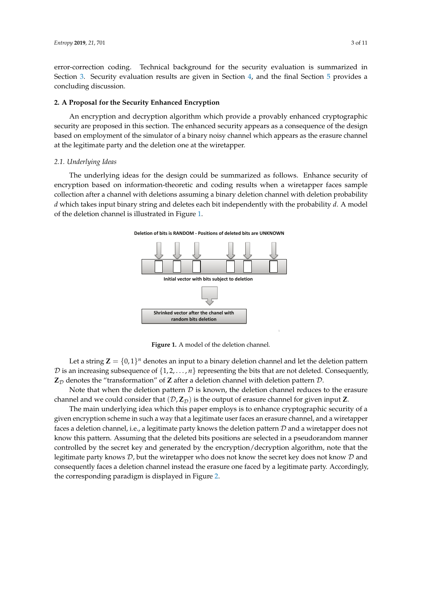error-correction coding. Technical background for the security evaluation is summarized in Section [3.](#page-4-0) Security evaluation results are given in Section [4,](#page-6-3) and the final Section [5](#page-9-7) provides a concluding discussion.

#### <span id="page-2-0"></span>**2. A Proposal for the Security Enhanced Encryption**

An encryption and decryption algorithm which provide a provably enhanced cryptographic security are proposed in this section. The enhanced security appears as a consequence of the design based on employment of the simulator of a binary noisy channel which appears as the erasure channel at the legitimate party and the deletion one at the wiretapper.

#### *2.1. Underlying Ideas*

<span id="page-2-1"></span>The underlying ideas for the design could be summarized as follows. Enhance security of encryption based on information-theoretic and coding results when a wiretapper faces sample collection after a channel with deletions assuming a binary deletion channel with deletion probability *d* which takes input binary string and deletes each bit independently with the probability *d*. A model of the deletion channel is illustrated in Figure [1.](#page-2-1)



**Figure 1.** A model of the deletion channel.

Let a string  $\mathbf{Z} = \{0,1\}^n$  denotes an input to a binary deletion channel and let the deletion pattern  $D$  is an increasing subsequence of  $\{1, 2, ..., n\}$  representing the bits that are not deleted. Consequently,  $\mathbb{Z}_D$  denotes the "transformation" of **Z** after a deletion channel with deletion pattern  $D$ .

Note that when the deletion pattern  $D$  is known, the deletion channel reduces to the erasure channel and we could consider that  $(D, Z_D)$  is the output of erasure channel for given input **Z**.

The main underlying idea which this paper employs is to enhance cryptographic security of a given encryption scheme in such a way that a legitimate user faces an erasure channel, and a wiretapper faces a deletion channel, i.e., a legitimate party knows the deletion pattern  $D$  and a wiretapper does not know this pattern. Assuming that the deleted bits positions are selected in a pseudorandom manner controlled by the secret key and generated by the encryption/decryption algorithm, note that the legitimate party knows  $D$ , but the wiretapper who does not know the secret key does not know  $D$  and consequently faces a deletion channel instead the erasure one faced by a legitimate party. Accordingly, the corresponding paradigm is displayed in Figure [2.](#page-3-1)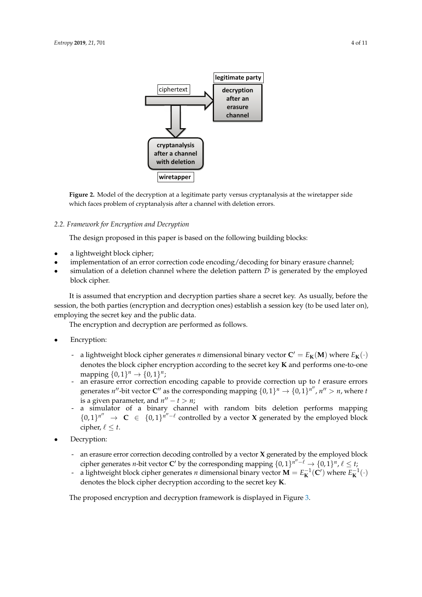<span id="page-3-1"></span>

**Figure 2.** Model of the decryption at a legitimate party versus cryptanalysis at the wiretapper side which faces problem of cryptanalysis after a channel with deletion errors.

## <span id="page-3-0"></span>*2.2. Framework for Encryption and Decryption*

The design proposed in this paper is based on the following building blocks:

- a lightweight block cipher;
- implementation of an error correction code encoding/decoding for binary erasure channel;
- simulation of a deletion channel where the deletion pattern  $D$  is generated by the employed block cipher.

It is assumed that encryption and decryption parties share a secret key. As usually, before the session, the both parties (encryption and decryption ones) establish a session key (to be used later on), employing the secret key and the public data.

The encryption and decryption are performed as follows.

- Encryption:
	- a lightweight block cipher generates *n* dimensional binary vector  $C' = E_K(M)$  where  $E_K(\cdot)$ denotes the block cipher encryption according to the secret key **K** and performs one-to-one mapping  $\{0, 1\}^n \to \{0, 1\}^n$ ;
	- an erasure error correction encoding capable to provide correction up to *t* erasure errors generates *n*''-bit vector **C**'' as the corresponding mapping  $\{0, 1\}^n \rightarrow \{0, 1\}^{n''}$ ,  $n'' > n$ , where *t* is a given parameter, and  $n'' - t > n$ ;
	- a simulator of a binary channel with random bits deletion performs mapping  $\{0,1\}^{n''} \rightarrow \mathbf{C} \in \{0,1\}^{n''-\ell}$  controlled by a vector **X** generated by the employed block cipher,  $\ell \leq t$ .
- Decryption:
	- an erasure error correction decoding controlled by a vector **X** generated by the employed block cipher generates *n*-bit vector **C**<sup></sup> by the corresponding mapping  $\{0, 1\}^{n'' - \ell} \to \{0, 1\}^n$ ,  $\ell \leq t$ ;
	- **a** lightweight block cipher generates *n* dimensional binary vector **M** =  $E_{\mathbf{K}}^{-1}(\mathbf{C}')$  where  $E_{\mathbf{K}}^{-1}(\cdot)$ denotes the block cipher decryption according to the secret key **K**.

The proposed encryption and decryption framework is displayed in Figure [3.](#page-4-1)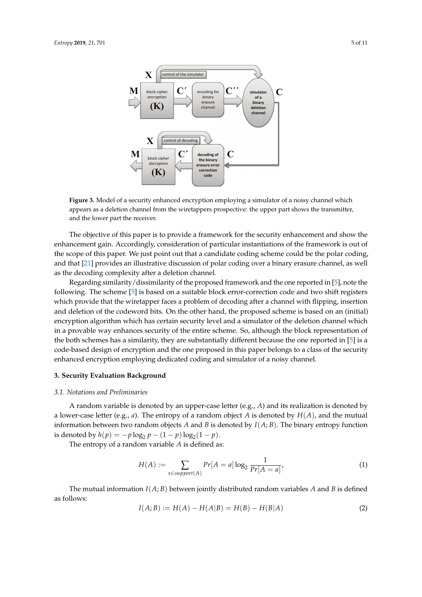<span id="page-4-1"></span>

**Figure 3.** Model of a security enhanced encryption employing a simulator of a noisy channel which appears as a deletion channel from the wiretappers prospective: the upper part shows the transmitter, and the lower part the receiver.

The objective of this paper is to provide a framework for the security enhancement and show the enhancement gain. Accordingly, consideration of particular instantiations of the framework is out of the scope of this paper. We just point out that a candidate coding scheme could be the polar coding, and that [\[21\]](#page-10-9) provides an illustrative discussion of polar coding over a binary erasure channel, as well as the decoding complexity after a deletion channel.

Regarding similarity/dissimilarity of the proposed framework and the one reported in [\[5\]](#page-9-4), note the following. The scheme [\[5\]](#page-9-4) is based on a suitable block error-correction code and two shift registers which provide that the wiretapper faces a problem of decoding after a channel with flipping, insertion and deletion of the codeword bits. On the other hand, the proposed scheme is based on an (initial) encryption algorithm which has certain security level and a simulator of the deletion channel which in a provable way enhances security of the entire scheme. So, although the block representation of the both schemes has a similarity, they are substantially different because the one reported in [\[5\]](#page-9-4) is a code-based design of encryption and the one proposed in this paper belongs to a class of the security enhanced encryption employing dedicated coding and simulator of a noisy channel.

## <span id="page-4-0"></span>**3. Security Evaluation Background**

#### *3.1. Notations and Preliminaries*

A random variable is denoted by an upper-case letter (e.g., *A*) and its realization is denoted by a lower-case letter (e.g., *a*). The entropy of a random object *A* is denoted by  $H(A)$ , and the mutual information between two random objects *A* and *B* is denoted by  $I(A;B)$ . The binary entropy function is denoted by  $h(p) = -p \log_2 p - (1 - p) \log_2 (1 - p)$ .

The entropy of a random variable *A* is defined as:

$$
H(A) := \sum_{x \in support(A)} Pr[A = a] \log_2 \frac{1}{Pr[A = a]},
$$
\n(1)

The mutual information  $I(A;B)$  between jointly distributed random variables *A* and *B* is defined as follows:

$$
I(A;B) := H(A) - H(A|B) = H(B) - H(B|A)
$$
\n(2)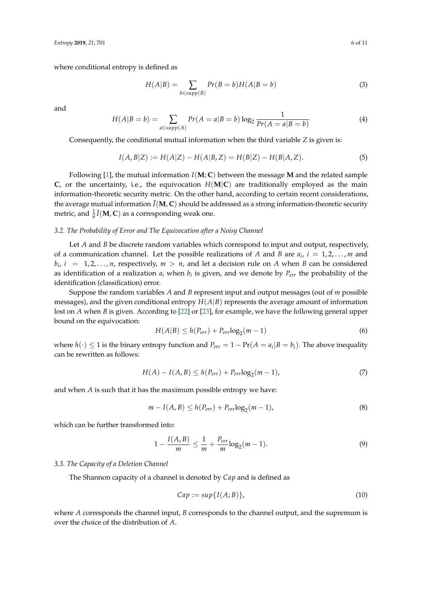where conditional entropy is defined as

$$
H(A|B) = \sum_{b \in supp(B)} Pr(B = b)H(A|B = b)
$$
\n(3)

and

$$
H(A|B = b) = \sum_{a \in supp(A)} Pr(A = a|B = b) \log_2 \frac{1}{Pr(A = a|B = b)}
$$
(4)

Consequently, the conditional mutual information when the third variable *Z* is given is:

$$
I(A, B|Z) := H(A|Z) - H(A|B, Z) = H(B|Z) - H(B|A, Z).
$$
\n(5)

Following [\[1\]](#page-9-0), the mutual information *I*(**M**; **C**) between the message **M** and the related sample **C**, or the uncertainty, i.e., the equivocation  $H(M|C)$  are traditionally employed as the main information-theoretic security metric. On the other hand, according to certain recent considerations, the average mutual information  $\bar{I}(\mathbf{M}, \mathbf{C})$  should be addressed as a strong information-theoretic security metric, and  $\frac{1}{n}\bar{I}(\mathbf{M}, \mathbf{C})$  as a corresponding weak one.

#### *3.2. The Probability of Error and The Equivocation after a Noisy Channel*

Let *A* and *B* be discrete random variables which correspond to input and output, respectively, of a communication channel. Let the possible realizations of *A* and *B* are  $a_i$ ,  $i = 1, 2, \ldots, m$  and  $b_i$ ,  $i = 1, 2, ..., n$ , respectively,  $m > n$ , and let a decision rule on *A* when *B* can be considered as identification of a realization  $a_i$  when  $b_i$  is given, and we denote by  $P_{err}$  the probability of the identification (classification) error.

Suppose the random variables *A* and *B* represent input and output messages (out of *m* possible messages), and the given conditional entropy  $H(A|B)$  represents the average amount of information lost on *A* when *B* is given. According to [\[22\]](#page-10-10) or [\[23\]](#page-10-11), for example, we have the following general upper bound on the equivocation:

$$
H(A|B) \le h(P_{err}) + P_{err} \log_2(m-1)
$$
\n(6)

where  $h(\cdot) \leq 1$  is the binary entropy function and  $P_{err} = 1 - \Pr(A = a_i | B = b_i)$ . The above inequality can be rewritten as follows:

$$
H(A) - I(A, B) \le h(P_{err}) + P_{err} \log_2(m - 1),\tag{7}
$$

and when *A* is such that it has the maximum possible entropy we have:

$$
m - I(A, B) \le h(P_{err}) + P_{err} \log_2(m - 1),
$$
\n(8)

which can be further transformed into:

<span id="page-5-0"></span>
$$
1 - \frac{I(A, B)}{m} \le \frac{1}{m} + \frac{P_{err}}{m} \log_2(m - 1).
$$
 (9)

## *3.3. The Capacity of a Deletion Channel*

The Shannon capacity of a channel is denoted by *Cap* and is defined as

<span id="page-5-1"></span>
$$
Cap := sup\{I(A;B)\},\tag{10}
$$

where *A* corresponds the channel input, *B* corresponds to the channel output, and the supremum is over the choice of the distribution of *A*.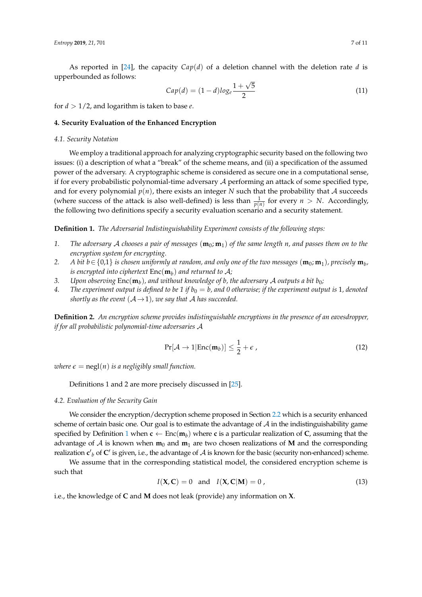As reported in [\[24\]](#page-10-12), the capacity  $Cap(d)$  of a deletion channel with the deletion rate *d* is upperbounded as follows: √

<span id="page-6-4"></span>
$$
Cap(d) = (1 - d)log_e \frac{1 + \sqrt{5}}{2}
$$
\n(11)

for *d* > 1/2, and logarithm is taken to base *e*.

# <span id="page-6-3"></span>**4. Security Evaluation of the Enhanced Encryption**

## *4.1. Security Notation*

We employ a traditional approach for analyzing cryptographic security based on the following two issues: (i) a description of what a "break" of the scheme means, and (ii) a specification of the assumed power of the adversary. A cryptographic scheme is considered as secure one in a computational sense, if for every probabilistic polynomial-time adversary  $A$  performing an attack of some specified type, and for every polynomial  $p(n)$ , there exists an integer *N* such that the probability that *A* succeeds (where success of the attack is also well-defined) is less than  $\frac{1}{p(n)}$  for every  $n > N$ . Accordingly, the following two definitions specify a security evaluation scenario and a security statement.

**Definition 1.** *The Adversarial Indistinguishability Experiment consists of the following steps:*

- *1. The adversary* A *chooses a pair of messages* (**m**0; **m**1) *of the same length n, and passes them on to the encryption system for encrypting.*
- *2.*  $\,$  *A bit b*∈ {0,1} *is chosen uniformly at random, and only one of the two messages*  $(\mathbf{m}_0; \mathbf{m}_1)$ *, precisely*  $\mathbf{m}_b$ *,* is encrypted into ciphertext  $\text{Enc}(\mathbf{m}_b)$  and returned to  $\mathcal{A}_i$
- <span id="page-6-2"></span>*3. Upon observing* Enc(**m***<sup>b</sup>* )*, and without knowledge of b, the adversary* A *outputs a bit b*0*;*
- 4. The experiment output is defined to be 1 if  $b_0 = b$ , and 0 otherwise; if the experiment output is 1, denoted *shortly as the event*  $(A \rightarrow 1)$ *, we say that* A *has succeeded.*

**Definition 2.** *An encryption scheme provides indistinguishable encryptions in the presence of an eavesdropper, if for all probabilistic polynomial-time adversaries* A

<span id="page-6-0"></span>
$$
Pr[\mathcal{A} \to 1 | Enc(m_b)] \le \frac{1}{2} + \epsilon \tag{12}
$$

*where*  $\epsilon$  =  $\text{negl}(n)$  *is a negligibly small function.* 

Definitions 1 and 2 are more precisely discussed in [\[25\]](#page-10-13).

#### <span id="page-6-1"></span>*4.2. Evaluation of the Security Gain*

We consider the encryption/decryption scheme proposed in Section [2.2](#page-3-0) which is a security enhanced scheme of certain basic one. Our goal is to estimate the advantage of  $A$  in the indistinguishability game specified by Definition [1](#page-6-2) when  $c \leftarrow Enc(m_b)$  where c is a particular realization of C, assuming that the advantage of  $A$  is known when  $m_0$  and  $m_1$  are two chosen realizations of **M** and the corresponding realization  $c'$ <sub>b</sub> of  $C'$  is given, i.e., the advantage of  $A$  is known for the basic (security non-enhanced) scheme.

We assume that in the corresponding statistical model, the considered encryption scheme is such that

$$
I(\mathbf{X}, \mathbf{C}) = 0 \quad \text{and} \quad I(\mathbf{X}, \mathbf{C}|\mathbf{M}) = 0 \tag{13}
$$

i.e., the knowledge of **C** and **M** does not leak (provide) any information on **X**.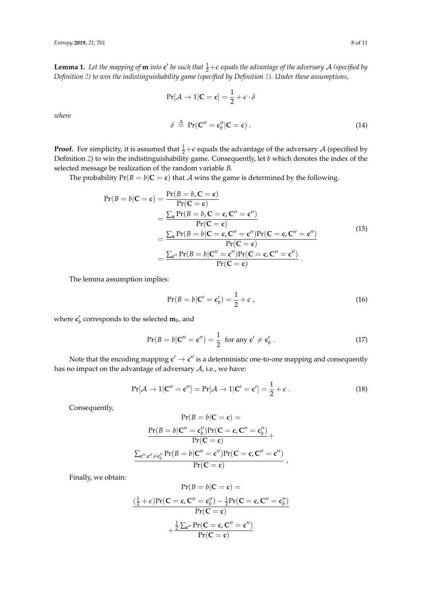**Lemma 1.** Let the mapping of **m** into  $c'$  be such that  $\frac{1}{2}+\epsilon$  equals the advantage of the adversary A (specified by *Definition [2\)](#page-6-0) to win the indistinguishability game (specified by Definition [1\)](#page-6-2). Under these assumptions,*

<span id="page-7-0"></span>
$$
Pr[\mathcal{A} \to 1 | \mathbf{C} = \mathbf{c}] = \frac{1}{2} + \epsilon \cdot \delta
$$

$$
\delta \triangleq Pr(\mathbf{C}'' = \mathbf{c}_b'' | \mathbf{C} = \mathbf{c}) .
$$
(14)

*where*

**Proof.** For simplicity, it is assumed that  $\frac{1}{2}+\epsilon$  equals the advantage of the adversary A (specified by Definition [2\)](#page-6-0) to win the indistinguishability game. Consequently, let *b* which denotes the index of the selected message be realization of the random variable *B*.

The probability  $Pr(B = b | \mathbf{C} = \mathbf{c})$  that A wins the game is determined by the following.

$$
Pr(B = b | C = c) = \frac{Pr(B = b, C = c)}{Pr(C = c)}
$$
  
= 
$$
\frac{\sum_{x} Pr(B = b, C = c, C'' = c'')}{Pr(C = c)}
$$
  
= 
$$
\frac{\sum_{x} Pr(B = b | C = c, C'' = c'') Pr(C = c, C'' = c'')}{Pr(C = c)}
$$
  
= 
$$
\frac{\sum_{c'} Pr(B = b | C'' = c'') Pr(C = c, C'' = c'')}{Pr(C = c)}.
$$
  
(15)

The lemma assumption implies:

$$
Pr(B = b | C' = c'_b) = \frac{1}{2} + \epsilon \tag{16}
$$

where  $\mathbf{c}'_b$  corresponds to the selected  $\mathbf{m}_b$ , and

$$
Pr(B = b | \mathbf{C}'' = \mathbf{c}'' ) = \frac{1}{2} \text{ for any } \mathbf{c}' \neq \mathbf{c}'_b .
$$
 (17)

Note that the encoding mapping  $\mathbf{c}' \to \mathbf{c}''$  is a deterministic one-to-one mapping and consequently has no impact on the advantage of adversary  $A$ , i.e., we have:

$$
Pr[\mathcal{A} \to 1 | \mathbf{C}'' = \mathbf{c}''] = Pr[\mathcal{A} \to 1 | \mathbf{C}' = \mathbf{c}'] = \frac{1}{2} + \epsilon.
$$
 (18)

Consequently,

$$
Pr(B = b | C = c) =
$$
  
\n
$$
\frac{Pr(B = b | C'' = c''_b) Pr(C = c, C'' = c''_b)}{Pr(C = c)} +
$$
  
\n
$$
\frac{\sum_{c'' : c'' \neq c''_b} Pr(B = b | C'' = c'') Pr(C = c, C'' = c'')}{Pr(C = c)} ,
$$

Finally, we obtain:

$$
Pr(B = b | C = c) =
$$
\n
$$
\frac{(\frac{1}{2} + \epsilon)Pr(C = c, C'' = c''_b) - \frac{1}{2}Pr(C = c, C'' = c''_b)}{Pr(C = c)}
$$
\n
$$
+ \frac{\frac{1}{2} \sum_{c''} Pr(C = c, C'' = c'')}{Pr(C = c)}
$$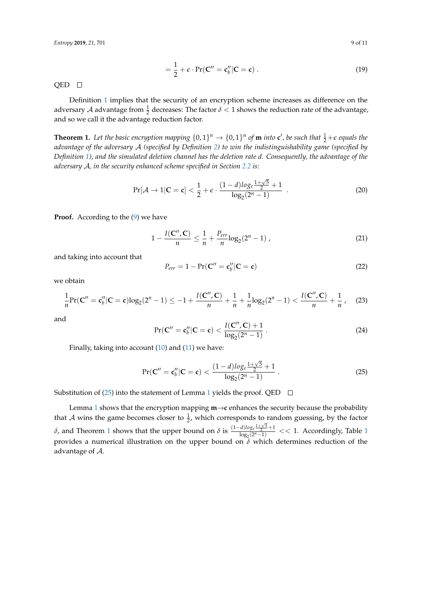$$
= \frac{1}{2} + \epsilon \cdot \Pr(C'' = c''_b | C = c) . \tag{19}
$$

QED  $\Box$ 

Definition [1](#page-6-2) implies that the security of an encryption scheme increases as difference on the adversary  ${\cal A}$  advantage from  $\frac{1}{2}$  decreases: The factor  $\delta < 1$  shows the reduction rate of the advantage, and so we call it the advantage reduction factor.

**Theorem 1.** Let the basic encryption mapping  $\{0,1\}^n \to \{0,1\}^n$  of  $m$  into  $c'$ , be such that  $\frac{1}{2}+\epsilon$  equals the *advantage of the adversary* A *(specified by Definition [2\)](#page-6-0) to win the indistinguishability game (specified by Definition [1\)](#page-6-2), and the simulated deletion channel has the deletion rate d. Consequently, the advantage of the adversary* A*, in the security enhanced scheme specified in Section [2.2](#page-3-0) is:*

<span id="page-8-1"></span>
$$
Pr[\mathcal{A} \to 1 | \mathbf{C} = \mathbf{c}] < \frac{1}{2} + \epsilon \cdot \frac{(1-d)log_e \frac{1+\sqrt{5}}{2} + 1}{log_2(2^n - 1)} .
$$
 (20)

**Proof.** According to the [\(9\)](#page-5-0) we have

$$
1 - \frac{I(C'', C)}{n} \le \frac{1}{n} + \frac{P_{err}}{n} \log_2(2^n - 1) ,
$$
 (21)

and taking into account that

$$
P_{err} = 1 - \Pr(\mathbf{C}'' = \mathbf{c}_b'' | \mathbf{C} = \mathbf{c}) \tag{22}
$$

we obtain

$$
\frac{1}{n}\Pr(C''=c''_b|C=c)\log_2(2^n-1)\leq -1+\frac{I(C'',C)}{n}+\frac{1}{n}+\frac{1}{n}\log_2(2^n-1)<\frac{I(C'',C)}{n}+\frac{1}{n},\quad(23)
$$

and

$$
Pr(\mathbf{C}'' = \mathbf{c}_b''|\mathbf{C} = \mathbf{c}) < \frac{I(\mathbf{C}'', \mathbf{C}) + 1}{\log_2(2^n - 1)}.
$$
 (24)

Finally, taking into account  $(10)$  and  $(11)$  we have:

<span id="page-8-0"></span>
$$
\Pr(\mathbf{C}'' = \mathbf{c}_b'' | \mathbf{C} = \mathbf{c}) < \frac{(1 - d)\log_e \frac{1 + \sqrt{5}}{2} + 1}{\log_2 (2^n - 1)} \,. \tag{25}
$$

Substitution of [\(25\)](#page-8-0) into the statement of Lemma [1](#page-7-0) yields the proof. QED  $\Box$ 

Lemma [1](#page-7-0) shows that the encryption mapping **m**→**c** enhances the security because the probability that A wins the game becomes closer to  $\frac{1}{2}$ , which corresponds to random guessing, by the factor *δ*, and Theorem [1](#page-8-1) shows that the upper bound on *δ* is  $\frac{(1-d)log_e \frac{1+\sqrt{5}}{2}+1}{log_e (2^n-1)}$  $\frac{\log_e(2^n-2^{n+1})}{\log_2(2^n-1)}$  $\frac{\log_e(2^n-2^{n+1})}{\log_2(2^n-1)}$  $\frac{\log_e(2^n-2^{n+1})}{\log_2(2^n-1)}$  << 1. Accordingly, Table 1 provides a numerical illustration on the upper bound on *δ* which determines reduction of the advantage of A.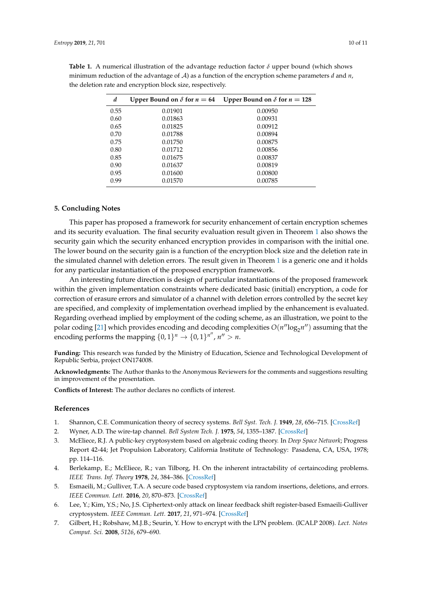| d    | Upper Bound on $\delta$ for $n = 64$ | Upper Bound on $\delta$ for $n = 128$ |
|------|--------------------------------------|---------------------------------------|
| 0.55 | 0.01901                              | 0.00950                               |
| 0.60 | 0.01863                              | 0.00931                               |
| 0.65 | 0.01825                              | 0.00912                               |
| 0.70 | 0.01788                              | 0.00894                               |
| 0.75 | 0.01750                              | 0.00875                               |
| 0.80 | 0.01712                              | 0.00856                               |
| 0.85 | 0.01675                              | 0.00837                               |
| 0.90 | 0.01637                              | 0.00819                               |
| 0.95 | 0.01600                              | 0.00800                               |
| 0.99 | 0.01570                              | 0.00785                               |
|      |                                      |                                       |

<span id="page-9-8"></span>**Table 1.** A numerical illustration of the advantage reduction factor *δ* upper bound (which shows minimum reduction of the advantage of A) as a function of the encryption scheme parameters *d* and *n*, the deletion rate and encryption block size, respectively.

#### <span id="page-9-7"></span>**5. Concluding Notes**

This paper has proposed a framework for security enhancement of certain encryption schemes and its security evaluation. The final security evaluation result given in Theorem [1](#page-8-1) also shows the security gain which the security enhanced encryption provides in comparison with the initial one. The lower bound on the security gain is a function of the encryption block size and the deletion rate in the simulated channel with deletion errors. The result given in Theorem [1](#page-8-1) is a generic one and it holds for any particular instantiation of the proposed encryption framework.

An interesting future direction is design of particular instantiations of the proposed framework within the given implementation constraints where dedicated basic (initial) encryption, a code for correction of erasure errors and simulator of a channel with deletion errors controlled by the secret key are specified, and complexity of implementation overhead implied by the enhancement is evaluated. Regarding overhead implied by employment of the coding scheme, as an illustration, we point to the polar coding [\[21\]](#page-10-9) which provides encoding and decoding complexities  $O(n'' \log_2 n'')$  assuming that the encoding performs the mapping  $\{0, 1\}^n \rightarrow \{0, 1\}^{n''}, n'' > n$ .

**Funding:** This research was funded by the Ministry of Education, Science and Technological Development of Republic Serbia, project ON174008.

**Acknowledgments:** The Author thanks to the Anonymous Reviewers for the comments and suggestions resulting in improvement of the presentation.

**Conflicts of Interest:** The author declares no conflicts of interest.

# **References**

- <span id="page-9-0"></span>1. Shannon, C.E. Communication theory of secrecy systems. *Bell Syst. Tech. J.* **1949**, *28*, 656–715. [\[CrossRef\]](http://dx.doi.org/10.1002/j.1538-7305.1949.tb00928.x)
- <span id="page-9-1"></span>2. Wyner, A.D. The wire-tap channel. *Bell System Tech. J.* **1975**, *54*, 1355–1387. [\[CrossRef\]](http://dx.doi.org/10.1002/j.1538-7305.1975.tb02040.x)
- <span id="page-9-2"></span>3. McEliece, R.J. A public-key cryptosystem based on algebraic coding theory. In *Deep Space Network*; Progress Report 42-44; Jet Propulsion Laboratory, California Institute of Technology: Pasadena, CA, USA, 1978; pp. 114–116.
- <span id="page-9-3"></span>4. Berlekamp, E.; McEliece, R.; van Tilborg, H. On the inherent intractability of certaincoding problems. *IEEE Trans. Inf. Theory* **1978**, *24*, 384–386. [\[CrossRef\]](http://dx.doi.org/10.1109/TIT.1978.1055873)
- <span id="page-9-4"></span>5. Esmaeili, M.; Gulliver, T.A. A secure code based cryptosystem via random insertions, deletions, and errors. *IEEE Commun. Lett.* **2016**, *20*, 870–873. [\[CrossRef\]](http://dx.doi.org/10.1109/LCOMM.2016.2540625)
- <span id="page-9-5"></span>6. Lee, Y.; Kim, Y.S.; No, J.S. Ciphertext-only attack on linear feedback shift register-based Esmaeili-Gulliver cryptosystem. *IEEE Commun. Lett.* **2017**, *21*, 971–974. [\[CrossRef\]](http://dx.doi.org/10.1109/LCOMM.2017.2654238)
- <span id="page-9-6"></span>7. Gilbert, H.; Robshaw, M.J.B.; Seurin, Y. How to encrypt with the LPN problem. (ICALP 2008). *Lect. Notes Comput. Sci.* **2008**, *5126*, 679–690.